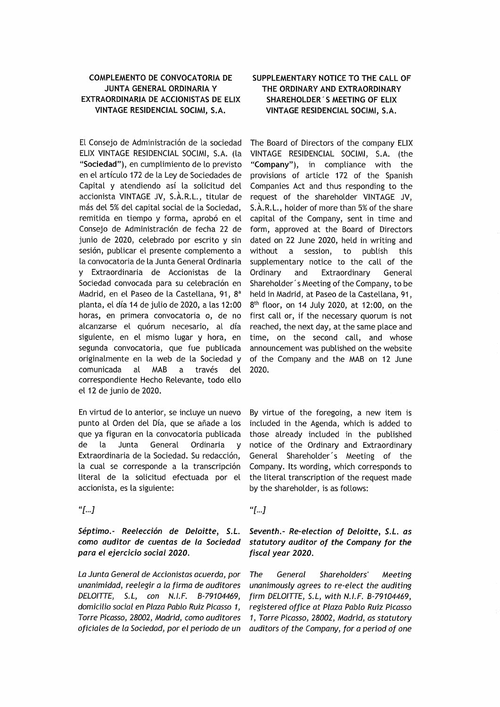## **COMPLEMENTO DE CONVOCATORIA DE JUNTA GENERAL ORDINARIA Y** EXTRAORDINARIA DE ACCIONISTAS DE ELIX VINTAGE RESIDENCIAL SOCIMI, S.A.

El Consejo de Administración de la sociedad ELIX VINTAGE RESIDENCIAL SOCIMI, S.A. (la "Sociedad"), en cumplimiento de lo previsto en el artículo 172 de la Ley de Sociedades de Capital y atendiendo así la solicitud del accionista VINTAGE JV, S.À.R.L., titular de más del 5% del capital social de la Sociedad, remitida en tiempo y forma, aprobó en el Consejo de Administración de fecha 22 de junio de 2020, celebrado por escrito y sin sesión, publicar el presente complemento a la convocatoria de la Junta General Ordinaria v Extraordinaria de Accionistas de la Sociedad convocada para su celebración en Madrid, en el Paseo de la Castellana, 91, 8<sup>ª</sup> planta, el día 14 de julio de 2020, a las 12:00 horas, en primera convocatoria o, de no alcanzarse el quórum necesario, al día siguiente, en el mismo lugar y hora, en segunda convocatoria, que fue publicada originalmente en la web de la Sociedad v del comunicada **MAB** través al a correspondiente Hecho Relevante, todo ello el 12 de junio de 2020.

En virtud de lo anterior, se incluve un nuevo punto al Orden del Día, que se añade a los que ya figuran en la convocatoria publicada Junta General de la. Ordinaria  $\mathbf{v}$ Extraordinaria de la Sociedad. Su redacción, la cual se corresponde a la transcripción literal de la solicitud efectuada por el accionista, es la siguiente:

"[...]

Séptimo.- Reelección de Deloitte, S.L. como auditor de cuentas de la Sociedad para el ejercicio social 2020.

La Junta General de Accionistas acuerda, por unanimidad, reelegir a la firma de auditores DELOITTE, S.L., con N.I.F. B-79104469, domicilio social en Plaza Pablo Ruiz Picasso 1, Torre Picasso, 28002, Madrid, como auditores oficiales de la Sociedad, por el periodo de un

# SUPPLEMENTARY NOTICE TO THE CALL OF THE ORDINARY AND EXTRAORDINARY SHAREHOLDER'S MEETING OF ELIX VINTAGE RESIDENCIAL SOCIMI, S.A.

The Board of Directors of the company ELIX VINTAGE RESIDENCIAL SOCIMI, S.A. (the "Company"), in compliance with the provisions of article 172 of the Spanish Companies Act and thus responding to the request of the shareholder VINTAGE JV, S.A.R.L., holder of more than 5% of the share capital of the Company, sent in time and form, approved at the Board of Directors dated on 22 June 2020, held in writing and without a session, to publish this supplementary notice to the call of the Ordinary and Extraordinary General Shareholder's Meeting of the Company, to be held in Madrid, at Paseo de la Castellana, 91, 8<sup>th</sup> floor, on 14 July 2020, at 12:00, on the first call or, if the necessary quorum is not reached, the next day, at the same place and time, on the second call, and whose announcement was published on the website of the Company and the MAB on 12 June 2020.

By virtue of the foregoing, a new item is included in the Agenda, which is added to those already included in the published notice of the Ordinary and Extraordinary General Shareholder's Meeting of the Company. Its wording, which corresponds to the literal transcription of the request made by the shareholder, is as follows:

"[...]

Seventh.- Re-election of Deloitte, S.L. as statutory auditor of the Company for the fiscal year 2020.

General The Shareholders' Meeting unanimously agrees to re-elect the auditing firm DELOITTE, S.L. with N.I.F. B-79104469. registered office at Plaza Pablo Ruiz Picasso 1, Torre Picasso, 28002, Madrid, as statutory auditors of the Company, for a period of one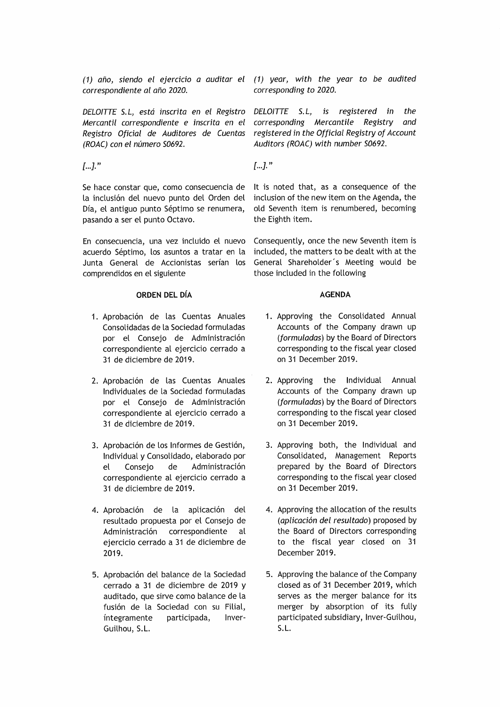correspondiente al año 2020.

DELOITTE S.L, está inscrita en el Registro Mercantil correspondiente e inscrita en el Registro Oficial de Auditores de Cuentas (ROAC) con el número S0692.

 $[...]$ ."

Se hace constar que, como consecuencia de la inclusión del nuevo punto del Orden del Día, el antiguo punto Séptimo se renumera, pasando a ser el punto Octavo.

En consecuencia, una vez incluido el nuevo acuerdo Séptimo, los asuntos a tratar en la Junta General de Accionistas serían los comprendidos en el siguiente

## ORDEN DEL DÍA

- 1. Aprobación de las Cuentas Anuales Consolidadas de la Sociedad formuladas por el Consejo de Administración correspondiente al ejercicio cerrado a 31 de diciembre de 2019.
- 2. Aprobación de las Cuentas Anuales Individuales de la Sociedad formuladas por el Consejo de Administración correspondiente al ejercicio cerrado a 31 de diciembre de 2019.
- 3. Aprobación de los Informes de Gestión, Individual y Consolidado, elaborado por Conseio de Administración  $el$ correspondiente al ejercicio cerrado a 31 de diciembre de 2019.
- 4. Aprobación de la aplicación del resultado propuesta por el Consejo de Administración correspondiente  $\mathsf{a}$ ejercicio cerrado a 31 de diciembre de 2019.
- 5. Aprobación del balance de la Sociedad cerrado a 31 de diciembre de 2019 y auditado, que sirve como balance de la fusión de la Sociedad con su Filial, íntegramente participada, Inver-Guilhou, S.L.

(1) año, siendo el ejercicio a auditar el (1) year, with the year to be audited corresponding to 2020.

> DELOITTE S.L, is registered in the corresponding Mercantile Registry and registered in the Official Registry of Account Auditors (ROAC) with number S0692.

 $\left[\ldots\right]$ ."

It is noted that, as a consequence of the inclusion of the new item on the Agenda, the old Seventh item is renumbered, becoming the Eighth item.

Consequently, once the new Seventh item is included, the matters to be dealt with at the General Shareholder's Meeting would be those included in the following

## **AGENDA**

- 1. Approving the Consolidated Annual Accounts of the Company drawn up (formuladas) by the Board of Directors corresponding to the fiscal year closed on 31 December 2019.
- 2. Approving the Individual Annual Accounts of the Company drawn up (formuladas) by the Board of Directors corresponding to the fiscal year closed on 31 December 2019.
- 3. Approving both, the Individual and Consolidated, Management Reports prepared by the Board of Directors corresponding to the fiscal year closed on 31 December 2019.
- 4. Approving the allocation of the results (aplicación del resultado) proposed by the Board of Directors corresponding to the fiscal year closed on 31 December 2019.
- 5. Approving the balance of the Company closed as of 31 December 2019, which serves as the merger balance for its merger by absorption of its fully participated subsidiary, Inver-Guilhou,  $S.L.$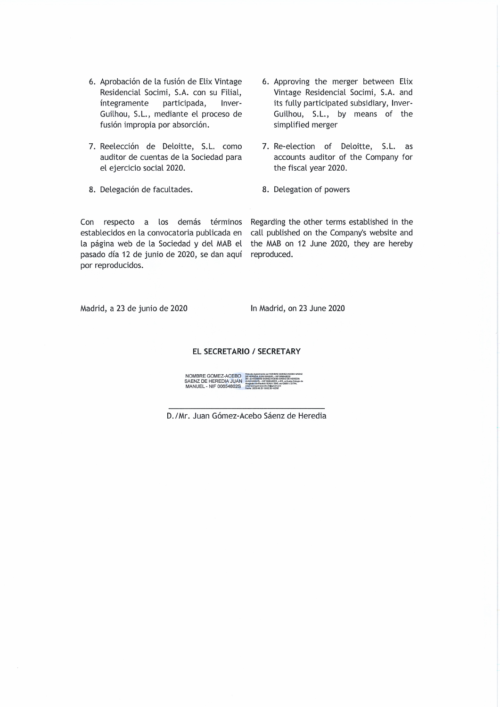- 6. Aprobación de la fusión de Elix Vintage Residencial Socimi, S.A. con su Filial, integramente participada, Inver-Guilhou, S.L., mediante el proceso de fusión impropia por absorción.
- 7. Reelección de Deloitte, S.L. como auditor de cuentas de la Sociedad para el ejercicio social 2020.
- 8. Delegación de facultades.
- 6. Approving the merger between Elix Vintage Residencial Socimi, S.A. and its fully participated subsidiary, Inver-Guilhou, S.L., by means of the simplified merger
- 7. Re-election of Deloitte, S.L. as accounts auditor of the Company for the fiscal year 2020.
- 8. Delegation of powers

Con respecto a los demás términos establecidos en la convocatoria publicada en la página web de la Sociedad y del MAB el pasado día 12 de junio de 2020, se dan aquí por reproducidos.

Regarding the other terms established in the call published on the Company's website and the MAB on 12 June 2020, they are hereby reproduced.

Madrid, a 23 de junio de 2020

In Madrid, on 23 June 2020

#### EL SECRETARIO / SECRETARY

NOMBRE GOMEZ-ACEBO<br>SAENZ DE HEREDIA JUAN<br>MANUEL - NIF 00654802S

D./Mr. Juan Gómez-Acebo Sáenz de Heredia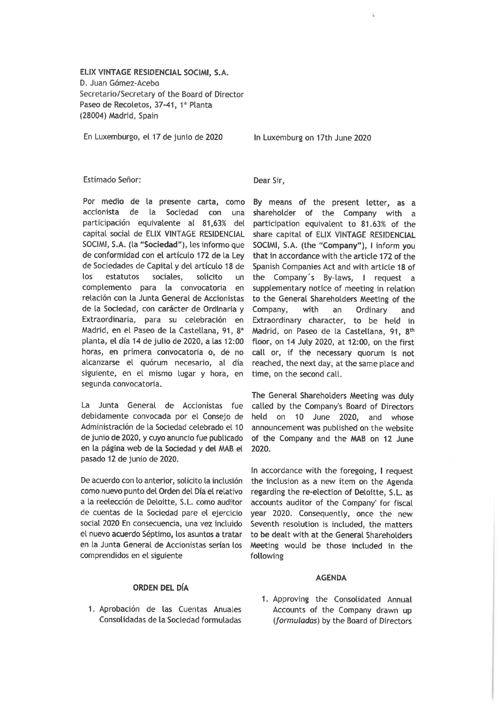ELIX VINTAGE RESIDENCIAL SOCIMI, S.A. D. Juan Gómez-Acebo Secretario/Secretary of the Board of Director Paseo de Recoletos, 37-41, 1ª Planta (28004) Madrid, Spain

En Luxemburgo, el 17 de junio de 2020

In Luxemburg on 17th June 2020

## Estimado Señor:

Por medio de la presente carta, como accionista de la Sociedad con una participación equivalente al 81,63% del capital social de ELIX VINTAGE RESIDENCIAL SOCIMI, S.A. (la "Sociedad"), les informo que de conformidad con el artículo 172 de la Lev de Sociedades de Capital y del artículo 18 de los estatutos sociales. solicito  $\mathsf{u}$ complemento para la convocatoria en relación con la Junta General de Accionistas de la Sociedad, con carácter de Ordinaria y Extraordinaria, para su celebración en Madrid, en el Paseo de la Castellana, 91, 8<sup>ª</sup> planta, el día 14 de julio de 2020, a las 12:00 horas, en primera convocatoria o, de no alcanzarse el quórum necesario, al día siguiente, en el mismo lugar y hora, en segunda convocatoria.

La Junta General de Accionistas fue debidamente convocada por el Consejo de Administración de la Sociedad celebrado el 10 de junio de 2020, y cuyo anuncio fue publicado en la página web de la Sociedad y del MAB el pasado 12 de junio de 2020.

De acuerdo con lo anterior, solicito la inclusión como nuevo punto del Orden del Día el relativo a la reelección de Deloitte, S.L. como auditor de cuentas de la Sociedad pare el ejercicio social 2020 En consecuencia, una vez incluido el nuevo acuerdo Séptimo, los asuntos a tratar en la Junta General de Accionistas serían los comprendidos en el siguiente

**ORDEN DEL DÍA** 

1. Aprobación de las Cuentas Anuales

Consolidadas de la Sociedad formuladas

## Dear Sir.

By means of the present letter, as a shareholder of the Company with a participation equivalent to 81.63% of the share capital of ELIX VINTAGE RESIDENCIAL SOCIMI, S.A. (the "Company"), I inform you that in accordance with the article 172 of the Spanish Companies Act and with article 18 of the Company's By-laws, I request a supplementary notice of meeting in relation to the General Shareholders Meeting of the Company. with  $an$ Ordinary and Extraordinary character, to be held in Madrid, on Paseo de la Castellana, 91, 8th floor, on 14 July 2020, at 12:00, on the first call or, if the necessary quorum is not reached, the next day, at the same place and time, on the second call.

The General Shareholders Meeting was duly called by the Company's Board of Directors held on 10 June 2020, and whose announcement was published on the website of the Company and the MAB on 12 June 2020.

In accordance with the foregoing, I request the inclusion as a new item on the Agenda regarding the re-election of Deloitte, S.L. as accounts auditor of the Company' for fiscal year 2020. Consequently, once the new Seventh resolution is included, the matters to be dealt with at the General Shareholders Meeting would be those included in the following

# **AGENDA**

1. Approving the Consolidated Annual Accounts of the Company drawn up (formuladas) by the Board of Directors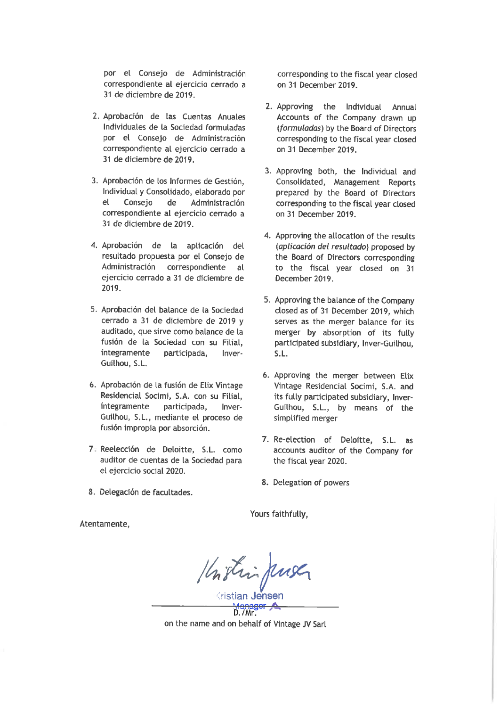por el Consejo de Administración correspondiente al ejercicio cerrado a 31 de diciembre de 2019.

- 2. Aprobación de las Cuentas Anuales Individuales de la Sociedad formuladas por el Consejo de Administración correspondiente al ejercicio cerrado a 31 de diciembre de 2019.
- 3. Aprobación de los Informes de Gestión. Individual y Consolidado, elaborado por  $el$ Consejo de Administración correspondiente al ejercicio cerrado a 31 de diciembre de 2019.
- 4. Aprobación de la aplicación del resultado propuesta por el Consejo de Administración correspondiente al ejercicio cerrado a 31 de diciembre de 2019.
- 5. Aprobación del balance de la Sociedad cerrado a 31 de diciembre de 2019 y auditado, que sirve como balance de la fusión de la Sociedad con su Filial. integramente participada, Inver-Guilhou, S.L.
- 6. Aprobación de la fusión de Elix Vintage Residencial Socimi, S.A. con su Filial. integramente participada, Inver-Guilhou, S.L., mediante el proceso de fusión impropia por absorción.
- 7. Reelección de Deloitte, S.L. como auditor de cuentas de la Sociedad para el ejercicio social 2020.
- 8. Delegación de facultades.

corresponding to the fiscal year closed on 31 December 2019.

- 2. Approving the Individual Annual Accounts of the Company drawn up (formuladas) by the Board of Directors corresponding to the fiscal year closed on 31 December 2019.
- 3. Approving both, the Individual and Consolidated, Management Reports prepared by the Board of Directors corresponding to the fiscal year closed on 31 December 2019.
- 4. Approving the allocation of the results (aplicación del resultado) proposed by the Board of Directors corresponding to the fiscal year closed on 31 December 2019.
- 5. Approving the balance of the Company closed as of 31 December 2019, which serves as the merger balance for its merger by absorption of its fully participated subsidiary, Inver-Guilhou,  $S.L.$
- 6. Approving the merger between Elix Vintage Residencial Socimi, S.A. and its fully participated subsidiary, Inver-Guilhou, S.L., by means of the simplified merger
- 7. Re-election of Deloitte, S.L. as accounts auditor of the Company for the fiscal year 2020.
- 8. Delegation of powers

Yours faithfully.

Kristin Juse

on the name and on behalf of Vintage JV Sarl

Atentamente,